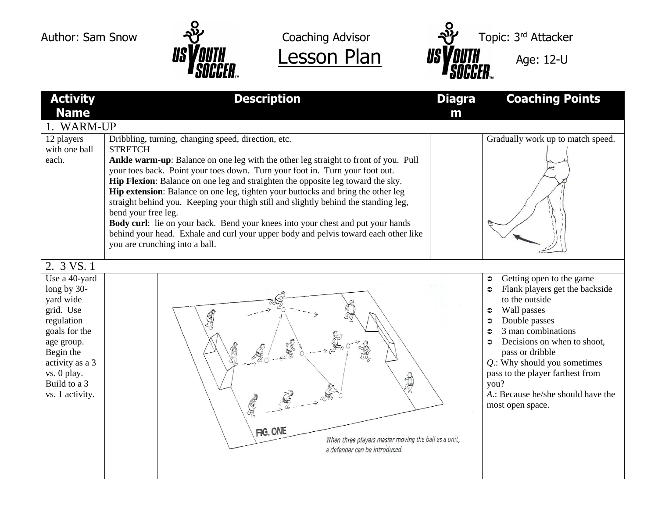**Activity Name**

12 players with one ball

2. 3 VS. 1 Use a 40-yard long by 30 yard wide grid. Use regulation goals for the age group. Begin the activity as a 3 vs. 0 play. Build to a 3 vs. 1 activity.

each.

1. WARM-UP

**STRETCH** 





**Description Diagra Coaching Points m** Dribbling, turning, changing speed, direction, etc. Gradually work up to match speed. **Ankle warm-up**: Balance on one leg with the other leg straight to front of you. Pull your toes back. Point your toes down. Turn your foot in. Turn your foot out. **Hip Flexion**: Balance on one leg and straighten the opposite leg toward the sky. **Hip extension**: Balance on one leg, tighten your buttocks and bring the other leg straight behind you. Keeping your thigh still and slightly behind the standing leg, bend your free leg. **Body curl**: lie on your back. Bend your knees into your chest and put your hands behind your head. Exhale and curl your upper body and pelvis toward each other like you are crunching into a ball.  $\circ$  Getting open to the game • Flank players get the backside to the outside  $\bullet$  Wall passes **Double passes**  $\approx$  3 man combinations  $\Rightarrow$  Decisions on when to shoot. pass or dribble *Q*.: Why should you sometimes pass to the player farthest from 3 you? *A*.: Because he/she should have the  $\mathbb{C}$ most open space.FIG. ONE When three players master moving the ball as a unit, a defender can be introduced.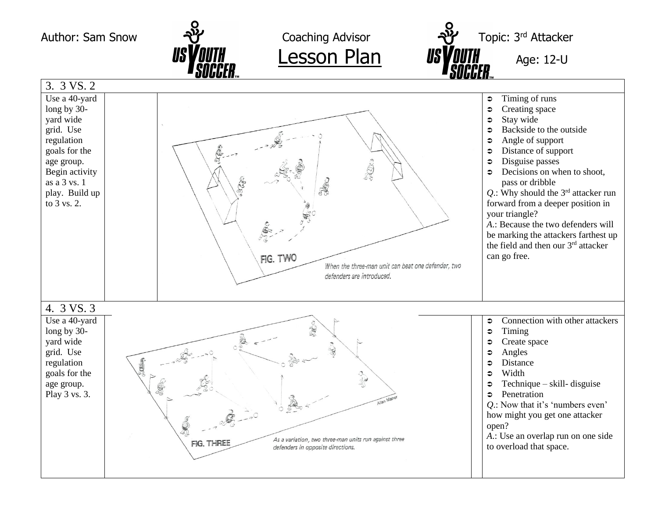